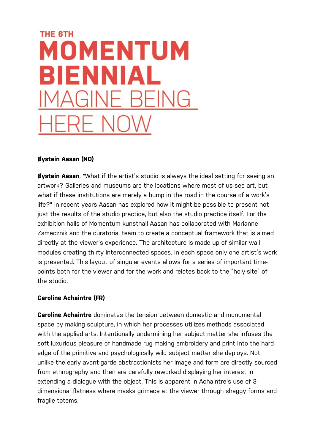# **THE 6TH MOMENTUM** BIENNIAL

#### **Øystein Aasan (NO)**

**Øystein Aasan**, "What if the artist's studio is always the ideal setting for seeing an artwork? Galleries and museums are the locations where most of us see art, but what if these institutions are merely a bump in the road in the course of a work's life?" In recent years Aasan has explored how it might be possible to present not just the results of the studio practice, but also the studio practice itself. For the exhibition halls of Momentum kunsthall Aasan has collaborated with Marianne Zamecznik and the curatorial team to create a conceptual framework that is aimed directly at the viewer's experience. The architecture is made up of similar wall modules creating thirty interconnected spaces. In each space only one artist's work is presented. This layout of singular events allows for a series of important timepoints both for the viewer and for the work and relates back to the "holy-site" of the studio.

#### **Caroline Achaintre (FR)**

**Caroline Achaintre** dominates the tension between domestic and monumental space by making sculpture, in which her processes utilizes methods associated with the applied arts. Intentionally undermining her subject matter she infuses the soft luxurious pleasure of handmade rug making embroidery and print into the hard edge of the primitive and psychologically wild subject matter she deploys. Not unlike the early avant-garde abstractionists her image and form are directly sourced from ethnography and then are carefully reworked displaying her interest in extending a dialogue with the object. This is apparent in Achaintre's use of 3 dimensional flatness where masks grimace at the viewer through shaggy forms and fragile totems.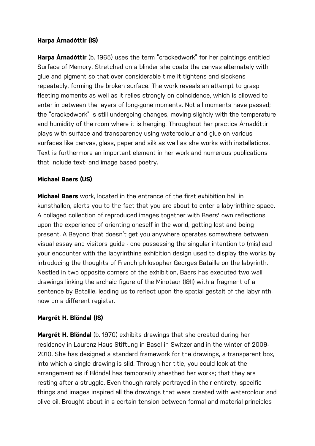## **Harpa Árnadóttir (IS)**

**Harpa Árnadóttir** (b. 1965) uses the term "crackedwork" for her paintings entitled Surface of Memory. Stretched on a blinder she coats the canvas alternately with glue and pigment so that over considerable time it tightens and slackens repeatedly, forming the broken surface. The work reveals an attempt to grasp fleeting moments as well as it relies strongly on coincidence, which is allowed to enter in between the layers of long-gone moments. Not all moments have passed; the "crackedwork" is still undergoing changes, moving slightly with the temperature and humidity of the room where it is hanging. Throughout her practice Árnadóttir plays with surface and transparency using watercolour and glue on various surfaces like canvas, glass, paper and silk as well as she works with installations. Text is furthermore an important element in her work and numerous publications that include text- and image based poetry.

#### **Michael Baers (US)**

**Michael Baers** work, located in the entrance of the first exhibition hall in kunsthallen, alerts you to the fact that you are about to enter a labyrinthine space. A collaged collection of reproduced images together with Baers' own reflections upon the experience of orienting oneself in the world, getting lost and being present, A Beyond that doesn't get you anywhere operates somewhere between visual essay and visitors guide - one possessing the singular intention to (mis)lead your encounter with the labyrinthine exhibition design used to display the works by introducing the thoughts of French philosopher Georges Bataille on the labyrinth. Nestled in two opposite corners of the exhibition, Baers has executed two wall drawings linking the archaic figure of the Minotaur (I&II) with a fragment of a sentence by Bataille, leading us to reflect upon the spatial gestalt of the labyrinth, now on a different register.

#### **Margrét H. Blöndal (IS)**

**Margrét H. Blöndal** (b. 1970) exhibits drawings that she created during her residency in Laurenz Haus Stiftung in Basel in Switzerland in the winter of 2009- 2010. She has designed a standard framework for the drawings, a transparent box, into which a single drawing is slid. Through her title, you could look at the arrangement as if Blöndal has temporarily sheathed her works; that they are resting after a struggle. Even though rarely portrayed in their entirety, specific things and images inspired all the drawings that were created with watercolour and olive oil. Brought about in a certain tension between formal and material principles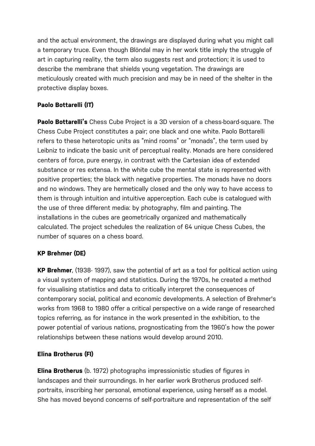and the actual environment, the drawings are displayed during what you might call a temporary truce. Even though Blöndal may in her work title imply the struggle of art in capturing reality, the term also suggests rest and protection; it is used to describe the membrane that shields young vegetation. The drawings are meticulously created with much precision and may be in need of the shelter in the protective display boxes.

# **Paolo Bottarelli (IT)**

**Paolo Bottarelli's** Chess Cube Project is a 3D version of a chess-board-square. The Chess Cube Project constitutes a pair; one black and one white. Paolo Bottarelli refers to these heterotopic units as "mind rooms" or "monads", the term used by Leibniz to indicate the basic unit of perceptual reality. Monads are here considered centers of force, pure energy, in contrast with the Cartesian idea of extended substance or res extensa. In the white cube the mental state is represented with positive properties; the black with negative properties. The monads have no doors and no windows. They are hermetically closed and the only way to have access to them is through intuition and intuitive apperception. Each cube is catalogued with the use of three different media: by photography, film and painting. The installations in the cubes are geometrically organized and mathematically calculated. The project schedules the realization of 64 unique Chess Cubes, the number of squares on a chess board.

# **KP Brehmer (DE)**

**KP Brehmer**, (1938- 1997), saw the potential of art as a tool for political action using a visual system of mapping and statistics. During the 1970s, he created a method for visualising statistics and data to critically interpret the consequences of contemporary social, political and economic developments. A selection of Brehmer's works from 1968 to 1980 offer a critical perspective on a wide range of researched topics referring, as for instance in the work presented in the exhibition, to the power potential of various nations, prognosticating from the 1960's how the power relationships between these nations would develop around 2010.

# **Elina Brotherus (FI)**

**Elina Brotherus** (b. 1972) photographs impressionistic studies of figures in landscapes and their surroundings. In her earlier work Brotherus produced selfportraits, inscribing her personal, emotional experience, using herself as a model. She has moved beyond concerns of self-portraiture and representation of the self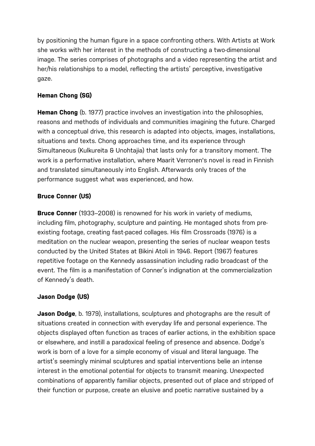by positioning the human figure in a space confronting others. With Artists at Work she works with her interest in the methods of constructing a two-dimensional image. The series comprises of photographs and a video representing the artist and her/his relationships to a model, reflecting the artists' perceptive, investigative gaze.

# **Heman Chong (SG)**

**Heman Chong** (b. 1977) practice involves an investigation into the philosophies, reasons and methods of individuals and communities imagining the future. Charged with a conceptual drive, this research is adapted into objects, images, installations, situations and texts. Chong approaches time, and its experience through Simultaneous (Kulkureita & Unohtajia) that lasts only for a transitory moment. The work is a performative installation, where Maarit Verronen's novel is read in Finnish and translated simultaneously into English. Afterwards only traces of the performance suggest what was experienced, and how.

# **Bruce Conner (US)**

**Bruce Conner** (1933–2008) is renowned for his work in variety of mediums, including film, photography, sculpture and painting. He montaged shots from preexisting footage, creating fast-paced collages. His film Crossroads (1976) is a meditation on the nuclear weapon, presenting the series of nuclear weapon tests conducted by the United States at Bikini Atoli in 1946. Report (1967) features repetitive footage on the Kennedy assassination including radio broadcast of the event. The film is a manifestation of Conner's indignation at the commercialization of Kennedy's death.

# **Jason Dodge (US)**

**Jason Dodge**, b. 1979), installations, sculptures and photographs are the result of situations created in connection with everyday life and personal experience. The objects displayed often function as traces of earlier actions, in the exhibition space or elsewhere, and instill a paradoxical feeling of presence and absence. Dodge's work is born of a love for a simple economy of visual and literal language. The artist's seemingly minimal sculptures and spatial interventions belie an intense interest in the emotional potential for objects to transmit meaning. Unexpected combinations of apparently familiar objects, presented out of place and stripped of their function or purpose, create an elusive and poetic narrative sustained by a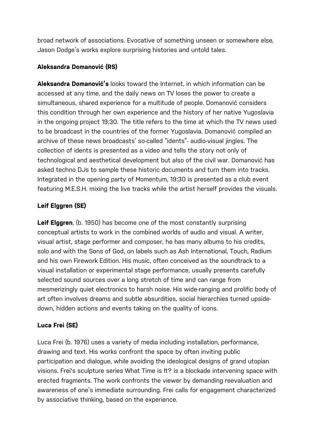broad network of associations. Evocative of something unseen or somewhere else, Jason Dodge's works explore surprising histories and untold tales.

## **Aleksandra Domanović (RS)**

**Aleksandra Domanović's** looks toward the Internet, in which information can be accessed at any time, and the daily news on TV loses the power to create a simultaneous, shared experience for a multitude of people. Domanović considers this condition through her own experience and the history of her native Yugoslavia in the ongoing project 19:30. The title refers to the time at which the TV news used to be broadcast in the countries of the former Yugoslavia. Domanović compiled an archive of these news broadcasts' so-called "idents"- audio-visual jingles. The collection of idents is presented as a video and tells the story not only of technological and aesthetical development but also of the civil war. Domanović has asked techno DJs to sample these historic documents and turn them into tracks. Integrated in the opening party of Momentum, 19:30 is presented as a club event featuring M.E.S.H. mixing the live tracks while the artist herself provides the visuals.

# **Leif Elggren (SE)**

**Leif Elggren**, (b. 1950) has become one of the most constantly surprising conceptual artists to work in the combined worlds of audio and visual. A writer, visual artist, stage performer and composer, he has many albums to his credits, solo and with the Sons of God, on labels such as Ash International, Touch, Radium and his own Firework Edition. His music, often conceived as the soundtrack to a visual installation or experimental stage performance, usually presents carefully selected sound sources over a long stretch of time and can range from mesmerizingly quiet electronics to harsh noise. His wide-ranging and prolific body of art often involves dreams and subtle absurdities, social hierarchies turned upsidedown, hidden actions and events taking on the quality of icons.

# **Luca Frei (SE)**

Luca Frei (b. 1976) uses a variety of media including installation, performance, drawing and text. His works confront the space by often inviting public participation and dialogue, while avoiding the ideological designs of grand utopian visions. Frei's sculpture series What Time is It? is a blockade intervening space with erected fragments. The work confronts the viewer by demanding reevaluation and awareness of one's immediate surrounding. Frei calls for engagement characterized by associative thinking, based on the experience.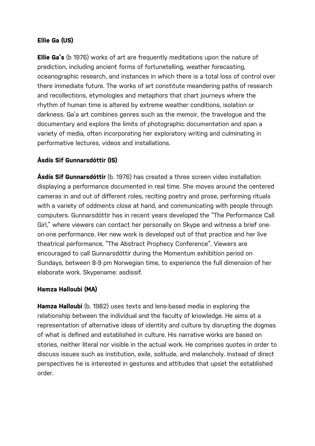## **Ellie Ga (US)**

**Ellie Ga's** (b 1976) works of art are frequently meditations upon the nature of prediction, including ancient forms of fortunetelling, weather forecasting, oceanographic research, and instances in which there is a total loss of control over there immediate future. The works of art constitute meandering paths of research and recollections, etymologies and metaphors that chart journeys where the rhythm of human time is altered by extreme weather conditions, isolation or darkness. Ga'a art combines genres such as the memoir, the travelogue and the documentary and explore the limits of photographic documentation and span a variety of media, often incorporating her exploratory writing and culminating in performative lectures, videos and installations.

## **Ásdís Sif Gunnarsdóttir (IS)**

**Ásdís Sif Gunnarsdóttir** (b. 1976) has created a three screen video installation displaying a performance documented in real time. She moves around the centered cameras in and out of different roles, reciting poetry and prose, performing rituals with a variety of oddments close at hand, and communicating with people through computers. Gunnarsdóttir has in recent years developed the "The Performance Call Girl," where viewers can contact her personally on Skype and witness a brief oneon-one performance. Her new work is developed out of that practice and her live theatrical performance, "The Abstract Prophecy Conference". Viewers are encouraged to call Gunnarsdóttir during the Momentum exhibition period on Sundays, between 8-9 pm Norwegian time, to experience the full dimension of her elaborate work. Skypename: asdissif.

#### **Hamza Halloubi (MA)**

**Hamza Halloubi** (b. 1982) uses texts and lens-based media in exploring the relationship between the individual and the faculty of knowledge. He aims at a representation of alternative ideas of identity and culture by disrupting the dogmas of what is defined and established in culture. His narrative works are based on stories, neither literal nor visible in the actual work. He comprises quotes in order to discuss issues such as institution, exile, solitude, and melancholy. Instead of direct perspectives he is interested in gestures and attitudes that upset the established order.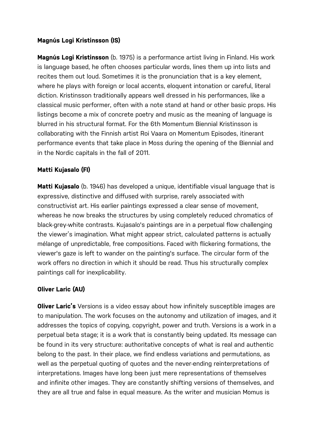#### **Magnús Logi Kristinsson (IS)**

**Magnús Logi Kristinsson** (b. 1975) is a performance artist living in Finland. His work is language based, he often chooses particular words, lines them up into lists and recites them out loud. Sometimes it is the pronunciation that is a key element, where he plays with foreign or local accents, eloquent intonation or careful, literal diction. Kristinsson traditionally appears well dressed in his performances, like a classical music performer, often with a note stand at hand or other basic props. His listings become a mix of concrete poetry and music as the meaning of language is blurred in his structural format. For the 6th Momentum Biennial Kristinsson is collaborating with the Finnish artist Roi Vaara on Momentum Episodes, itinerant performance events that take place in Moss during the opening of the Biennial and in the Nordic capitals in the fall of 2011.

## **Matti Kujasalo (FI)**

**Matti Kujasalo** (b. 1946) has developed a unique, identifiable visual language that is expressive, distinctive and diffused with surprise, rarely associated with constructivist art. His earlier paintings expressed a clear sense of movement, whereas he now breaks the structures by using completely reduced chromatics of black-grey-white contrasts. Kujasalo's paintings are in a perpetual flow challenging the viewer's imagination. What might appear strict, calculated patterns is actually mélange of unpredictable, free compositions. Faced with flickering formations, the viewer's gaze is left to wander on the painting's surface. The circular form of the work offers no direction in which it should be read. Thus his structurally complex paintings call for inexplicability.

#### **Oliver Laric (AU)**

**Oliver Laric's** Versions is a video essay about how infinitely susceptible images are to manipulation. The work focuses on the autonomy and utilization of images, and it addresses the topics of copying, copyright, power and truth. Versions is a work in a perpetual beta stage; it is a work that is constantly being updated. Its message can be found in its very structure: authoritative concepts of what is real and authentic belong to the past. In their place, we find endless variations and permutations, as well as the perpetual quoting of quotes and the never-ending reinterpretations of interpretations. Images have long been just mere representations of themselves and infinite other images. They are constantly shifting versions of themselves, and they are all true and false in equal measure. As the writer and musician Momus is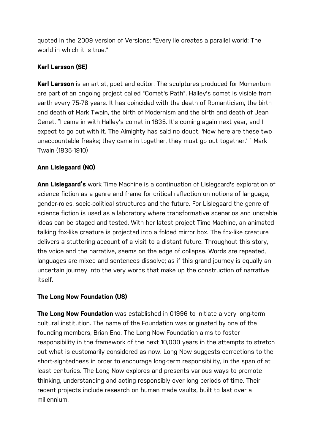quoted in the 2009 version of Versions: "Every lie creates a parallel world: The world in which it is true."

# **Karl Larsson (SE)**

**Karl Larsson** is an artist, poet and editor. The sculptures produced for Momentum are part of an ongoing project called "Comet's Path". Halley's comet is visible from earth every 75-76 years. It has coincided with the death of Romanticism, the birth and death of Mark Twain, the birth of Modernism and the birth and death of Jean Genet. "I came in with Halley's comet in 1835. It's coming again next year, and I expect to go out with it. The Almighty has said no doubt, 'Now here are these two unaccountable freaks; they came in together, they must go out together.' " Mark Twain (1835-1910)

# **Ann Lislegaard (NO)**

**Ann Lislegaard's** work Time Machine is a continuation of Lislegaard's exploration of science fiction as a genre and frame for critical reflection on notions of language, gender-roles, socio-political structures and the future. For Lislegaard the genre of science fiction is used as a laboratory where transformative scenarios and unstable ideas can be staged and tested. With her latest project Time Machine, an animated talking fox-like creature is projected into a folded mirror box. The fox-like creature delivers a stuttering account of a visit to a distant future. Throughout this story, the voice and the narrative, seems on the edge of collapse. Words are repeated, languages are mixed and sentences dissolve; as if this grand journey is equally an uncertain journey into the very words that make up the construction of narrative itself.

# **The Long Now Foundation (US)**

**The Long Now Foundation** was established in 01996 to initiate a very long-term cultural institution. The name of the Foundation was originated by one of the founding members, Brian Eno. The Long Now Foundation aims to foster responsibility in the framework of the next 10,000 years in the attempts to stretch out what is customarily considered as now. Long Now suggests corrections to the short-sightedness in order to encourage long-term responsibility, in the span of at least centuries. The Long Now explores and presents various ways to promote thinking, understanding and acting responsibly over long periods of time. Their recent projects include research on human made vaults, built to last over a millennium.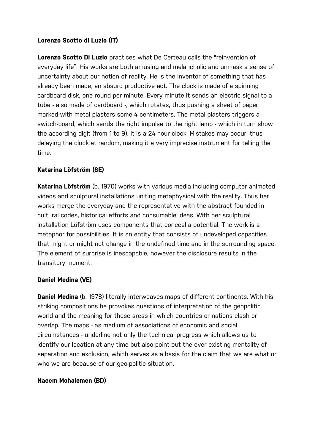#### **Lorenzo Scotto di Luzio (IT)**

**Lorenzo Scotto Di Luzio** practices what De Certeau calls the "reinvention of everyday life". His works are both amusing and melancholic and unmask a sense of uncertainty about our notion of reality. He is the inventor of something that has already been made, an absurd productive act. The clock is made of a spinning cardboard disk, one round per minute. Every minute it sends an electric signal to a tube - also made of cardboard -, which rotates, thus pushing a sheet of paper marked with metal plasters some 4 centimeters. The metal plasters triggers a switch-board, which sends the right impulse to the right lamp - which in turn show the according digit (from 1 to 9). It is a 24-hour clock. Mistakes may occur, thus delaying the clock at random, making it a very imprecise instrument for telling the time.

## **Katarina Löfström (SE)**

**Katarina Löfström** (b. 1970) works with various media including computer animated videos and sculptural installations uniting metaphysical with the reality. Thus her works merge the everyday and the representative with the abstract founded in cultural codes, historical efforts and consumable ideas. With her sculptural installation Löfström uses components that conceal a potential. The work is a metaphor for possibilities. It is an entity that consists of undeveloped capacities that might or might not change in the undefined time and in the surrounding space. The element of surprise is inescapable, however the disclosure results in the transitory moment.

#### **Daniel Medina (VE)**

**Daniel Medina** (b. 1978) literally interweaves maps of different continents. With his striking compositions he provokes questions of interpretation of the geopolitic world and the meaning for those areas in which countries or nations clash or overlap. The maps - as medium of associations of economic and social circumstances - underline not only the technical progress which allows us to identify our location at any time but also point out the ever existing mentality of separation and exclusion, which serves as a basis for the claim that we are what or who we are because of our geo-politic situation.

#### **Naeem Mohaiemen (BD)**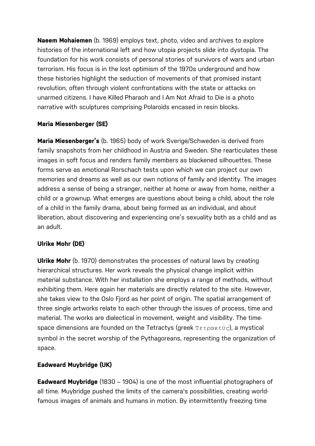**Naeem Mohaiemen** (b. 1969) employs text, photo, video and archives to explore histories of the international left and how utopia projects slide into dystopia. The foundation for his work consists of personal stories of survivors of wars and urban terrorism. His focus is in the lost optimism of the 1970s underground and how these histories highlight the seduction of movements of that promised instant revolution, often through violent confrontations with the state or attacks on unarmed citizens. I have Killed Pharaoh and I Am Not Afraid to Die is a photo narrative with sculptures comprising Polaroids encased in resin blocks.

## **Maria Miesenberger (SE)**

**Maria Miesenberger's** (b. 1965) body of work Sverige/Schweden is derived from family snapshots from her childhood in Austria and Sweden. She rearticulates these images in soft focus and renders family members as blackened silhouettes. These forms serve as emotional Rorschach tests upon which we can project our own memories and dreams as well as our own notions of family and identity. The images address a sense of being a stranger, neither at home or away from home, neither a child or a grownup. What emerges are questions about being a child, about the role of a child in the family drama, about being formed as an individual, and about liberation, about discovering and experiencing one's sexuality both as a child and as an adult.

# **Ulrike Mohr (DE)**

**Ulrike Mohr** (b. 1970) demonstrates the processes of natural laws by creating hierarchical structures. Her work reveals the physical change implicit within material substance. With her installation she employs a range of methods, without exhibiting them. Here again her materials are directly related to the site. However, she takes view to the Oslo Fjord as her point of origin. The spatial arrangement of three single artworks relate to each other through the issues of process, time and material. The works are dialectical in movement, weight and visibility. The timespace dimensions are founded on the Tetractys (greek  $T\epsilon\tau\rho\alpha\kappa\tau\nu\sigma$ ), a mystical symbol in the secret worship of the Pythagoreans, representing the organization of space.

# **Eadweard Muybridge (UK)**

**Eadweard Muybridge** (1830 – 1904) is one of the most influential photographers of all time. Muybridge pushed the limits of the camera's possibilities, creating worldfamous images of animals and humans in motion. By intermittently freezing time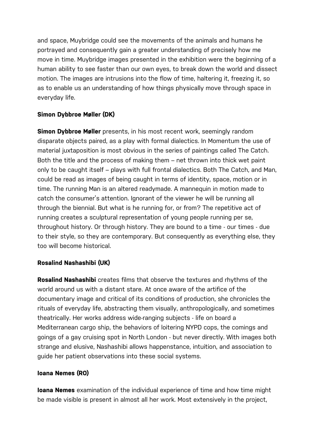and space, Muybridge could see the movements of the animals and humans he portrayed and consequently gain a greater understanding of precisely how me move in time. Muybridge images presented in the exhibition were the beginning of a human ability to see faster than our own eyes, to break down the world and dissect motion. The images are intrusions into the flow of time, haltering it, freezing it, so as to enable us an understanding of how things physically move through space in everyday life.

## **Simon Dybbroe Møller (DK)**

**Simon Dybbroe Møller** presents, in his most recent work, seemingly random disparate objects paired, as a play with formal dialectics. In Momentum the use of material juxtaposition is most obvious in the series of paintings called The Catch. Both the title and the process of making them – net thrown into thick wet paint only to be caught itself – plays with full frontal dialectics. Both The Catch, and Man, could be read as images of being caught in terms of identity, space, motion or in time. The running Man is an altered readymade. A mannequin in motion made to catch the consumer's attention. Ignorant of the viewer he will be running all through the biennial. But what is he running for, or from? The repetitive act of running creates a sculptural representation of young people running per se, throughout history. Or through history. They are bound to a time - our times - due to their style, so they are contemporary. But consequently as everything else, they too will become historical.

#### **Rosalind Nashashibi (UK)**

**Rosalind Nashashibi** creates films that observe the textures and rhythms of the world around us with a distant stare. At once aware of the artifice of the documentary image and critical of its conditions of production, she chronicles the rituals of everyday life, abstracting them visually, anthropologically, and sometimes theatrically. Her works address wide-ranging subjects - life on board a Mediterranean cargo ship, the behaviors of loitering NYPD cops, the comings and goings of a gay cruising spot in North London - but never directly. With images both strange and elusive, Nashashibi allows happenstance, intuition, and association to guide her patient observations into these social systems.

#### **Ioana Nemes (RO)**

**Ioana Nemes** examination of the individual experience of time and how time might be made visible is present in almost all her work. Most extensively in the project,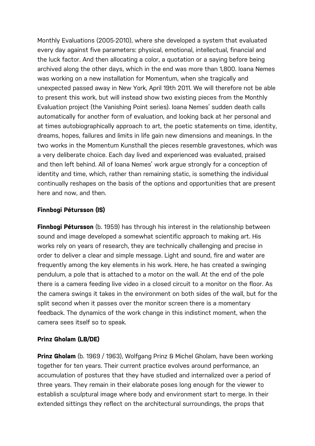Monthly Evaluations (2005-2010), where she developed a system that evaluated every day against five parameters: physical, emotional, intellectual, financial and the luck factor. And then allocating a color, a quotation or a saying before being archived along the other days, which in the end was more than 1,800. Ioana Nemes was working on a new installation for Momentum, when she tragically and unexpected passed away in New York, April 19th 2011. We will therefore not be able to present this work, but will instead show two existing pieces from the Monthly Evaluation project (the Vanishing Point series). Ioana Nemes' sudden death calls automatically for another form of evaluation, and looking back at her personal and at times autobiographically approach to art, the poetic statements on time, identity, dreams, hopes, failures and limits in life gain new dimensions and meanings. In the two works in the Momentum Kunsthall the pieces resemble gravestones, which was a very deliberate choice. Each day lived and experienced was evaluated, praised and then left behind. All of Ioana Nemes' work argue strongly for a conception of identity and time, which, rather than remaining static, is something the individual continually reshapes on the basis of the options and opportunities that are present here and now, and then.

#### **Finnbogi Pétursson (IS)**

**Finnbogi Pétursson** (b. 1959) has through his interest in the relationship between sound and image developed a somewhat scientific approach to making art. His works rely on years of research, they are technically challenging and precise in order to deliver a clear and simple message. Light and sound, fire and water are frequently among the key elements in his work. Here, he has created a swinging pendulum, a pole that is attached to a motor on the wall. At the end of the pole there is a camera feeding live video in a closed circuit to a monitor on the floor. As the camera swings it takes in the environment on both sides of the wall, but for the split second when it passes over the monitor screen there is a momentary feedback. The dynamics of the work change in this indistinct moment, when the camera sees itself so to speak.

#### **Prinz Gholam (LB/DE)**

**Prinz Gholam** (b. 1969 / 1963), Wolfgang Prinz & Michel Gholam, have been working together for ten years. Their current practice evolves around performance, an accumulation of postures that they have studied and internalized over a period of three years. They remain in their elaborate poses long enough for the viewer to establish a sculptural image where body and environment start to merge. In their extended sittings they reflect on the architectural surroundings, the props that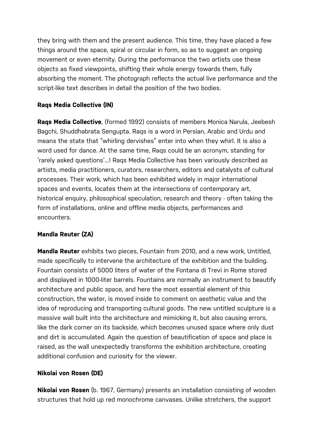they bring with them and the present audience. This time, they have placed a few things around the space, spiral or circular in form, so as to suggest an ongoing movement or even eternity. During the performance the two artists use these objects as fixed viewpoints, shifting their whole energy towards them, fully absorbing the moment. The photograph reflects the actual live performance and the script-like text describes in detail the position of the two bodies.

## **Raqs Media Collective (IN)**

**Raqs Media Collective**, (formed 1992) consists of members Monica Narula, Jeebesh Bagchi, Shuddhabrata Sengupta. Raqs is a word in Persian, Arabic and Urdu and means the state that "whirling dervishes" enter into when they whirl. It is also a word used for dance. At the same time, Raqs could be an acronym, standing for 'rarely asked questions'...! Raqs Media Collective has been variously described as artists, media practitioners, curators, researchers, editors and catalysts of cultural processes. Their work, which has been exhibited widely in major international spaces and events, locates them at the intersections of contemporary art, historical enquiry, philosophical speculation, research and theory - often taking the form of installations, online and offline media objects, performances and encounters.

# **Mandla Reuter (ZA)**

**Mandla Reuter** exhibits two pieces, Fountain from 2010, and a new work, Untitled, made specifically to intervene the architecture of the exhibition and the building. Fountain consists of 5000 liters of water of the Fontana di Trevi in Rome stored and displayed in 1000-liter barrels. Fountains are normally an instrument to beautify architecture and public space, and here the most essential element of this construction, the water, is moved inside to comment on aesthetic value and the idea of reproducing and transporting cultural goods. The new untitled sculpture is a massive wall built into the architecture and mimicking it, but also causing errors, like the dark corner on its backside, which becomes unused space where only dust and dirt is accumulated. Again the question of beautification of space and place is raised, as the wall unexpectedly transforms the exhibition architecture, creating additional confusion and curiosity for the viewer.

# **Nikolai von Rosen (DE)**

**Nikolai von Rosen** (b. 1967, Germany) presents an installation consisting of wooden structures that hold up red monochrome canvases. Unlike stretchers, the support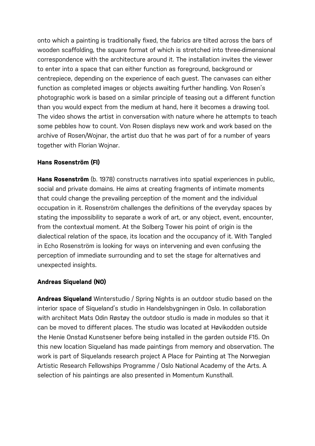onto which a painting is traditionally fixed, the fabrics are tilted across the bars of wooden scaffolding, the square format of which is stretched into three-dimensional correspondence with the architecture around it. The installation invites the viewer to enter into a space that can either function as foreground, background or centrepiece, depending on the experience of each guest. The canvases can either function as completed images or objects awaiting further handling. Von Rosen's photographic work is based on a similar principle of teasing out a different function than you would expect from the medium at hand, here it becomes a drawing tool. The video shows the artist in conversation with nature where he attempts to teach some pebbles how to count. Von Rosen displays new work and work based on the archive of Rosen/Wojnar, the artist duo that he was part of for a number of years together with Florian Wojnar.

#### **Hans Rosenström (FI)**

**Hans Rosenström** (b. 1978) constructs narratives into spatial experiences in public, social and private domains. He aims at creating fragments of intimate moments that could change the prevailing perception of the moment and the individual occupation in it. Rosenström challenges the definitions of the everyday spaces by stating the impossibility to separate a work of art, or any object, event, encounter, from the contextual moment. At the Solberg Tower his point of origin is the dialectical relation of the space, its location and the occupancy of it. With Tangled in Echo Rosenström is looking for ways on intervening and even confusing the perception of immediate surrounding and to set the stage for alternatives and unexpected insights.

#### **Andreas Siqueland (NO)**

**Andreas Siqueland** Winterstudio / Spring Nights is an outdoor studio based on the interior space of Siqueland's studio in Handelsbygningen in Oslo. In collaboration with architect Mats Odin Røstøy the outdoor studio is made in modules so that it can be moved to different places. The studio was located at Høvikodden outside the Henie Onstad Kunstsener before being installed in the garden outside F15. On this new location Siqueland has made paintings from memory and observation. The work is part of Siquelands research project A Place for Painting at The Norwegian Artistic Research Fellowships Programme / Oslo National Academy of the Arts. A selection of his paintings are also presented in Momentum Kunsthall.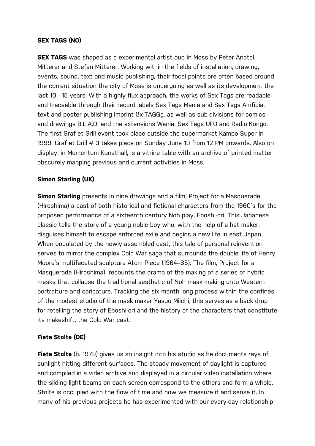#### **SEX TAGS (NO)**

**SEX TAGS** was shaped as a experimental artist duo in Moss by Peter Anatol Mitterer and Stefan Mitterer. Working within the fields of installation, drawing, events, sound, text and music publishing, their focal points are often based around the current situation the city of Moss is undergoing as well as its development the last 10 - 15 years. With a highly flux approach, the works of Sex Tags are readable and traceable through their record labels Sex Tags Mania and Sex Tags Amfibia, text and poster publishing imprint ßx-TAGGç, as well as sub-divisions for comics and drawings B.L.A.D, and the extensions Wania, Sex Tags UFO and Radio Kongo. The first Graf et Grill event took place outside the supermarket Kambo Super in 1999. Graf et Grill # 3 takes place on Sunday June 19 from 12 PM onwards. Also on display, in Momentum Kunsthall, is a vitrine table with an archive of printed matter obscurely mapping previous and current activities in Moss.

#### **Simon Starling (UK)**

**Simon Starling** presents in nine drawings and a film, Project for a Masquerade (Hiroshima) a cast of both historical and fictional characters from the 1960's for the proposed performance of a sixteenth century Noh play, Eboshi-ori. This Japanese classic tells the story of a young noble boy who, with the help of a hat maker, disguises himself to escape enforced exile and begins a new life in east Japan. When populated by the newly assembled cast, this tale of personal reinvention serves to mirror the complex Cold War saga that surrounds the double life of Henry Moore's multifaceted sculpture Atom Piece (1964–65). The film, Project for a Masquerade (Hiroshima), recounts the drama of the making of a series of hybrid masks that collapse the traditional aesthetic of Noh mask making onto Western portraiture and caricature. Tracking the six month long process within the confines of the modest studio of the mask maker Yasuo Miichi, this serves as a back drop for retelling the story of Eboshi-ori and the history of the characters that constitute its makeshift, the Cold War cast.

#### **Fiete Stolte (DE)**

**Fiete Stolte** (b. 1979) gives us an insight into his studio as he documents rays of sunlight hitting different surfaces. The steady movement of daylight is captured and compiled in a video archive and displayed in a circular video installation where the sliding light beams on each screen correspond to the others and form a whole. Stolte is occupied with the flow of time and how we measure it and sense it. In many of his previous projects he has experimented with our every-day relationship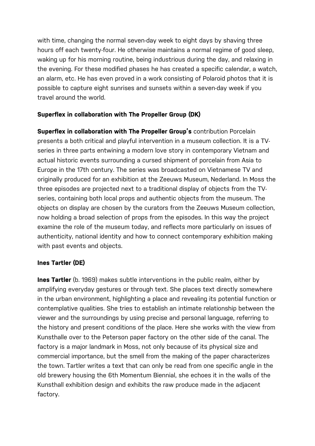with time, changing the normal seven-day week to eight days by shaving three hours off each twenty-four. He otherwise maintains a normal regime of good sleep, waking up for his morning routine, being industrious during the day, and relaxing in the evening. For these modified phases he has created a specific calendar, a watch, an alarm, etc. He has even proved in a work consisting of Polaroid photos that it is possible to capture eight sunrises and sunsets within a seven-day week if you travel around the world.

## **Superflex in collaboration with The Propeller Group (DK)**

**Superflex in collaboration with The Propeller Group's** contribution Porcelain presents a both critical and playful intervention in a museum collection. It is a TVseries in three parts entwining a modern love story in contemporary Vietnam and actual historic events surrounding a cursed shipment of porcelain from Asia to Europe in the 17th century. The series was broadcasted on Vietnamese TV and originally produced for an exhibition at the Zeeuws Museum, Nederland. In Moss the three episodes are projected next to a traditional display of objects from the TVseries, containing both local props and authentic objects from the museum. The objects on display are chosen by the curators from the Zeeuws Museum collection, now holding a broad selection of props from the episodes. In this way the project examine the role of the museum today, and reflects more particularly on issues of authenticity, national identity and how to connect contemporary exhibition making with past events and objects.

#### **Ines Tartler (DE)**

**Ines Tartler** (b. 1969) makes subtle interventions in the public realm, either by amplifying everyday gestures or through text. She places text directly somewhere in the urban environment, highlighting a place and revealing its potential function or contemplative qualities. She tries to establish an intimate relationship between the viewer and the surroundings by using precise and personal language, referring to the history and present conditions of the place. Here she works with the view from Kunsthalle over to the Peterson paper factory on the other side of the canal. The factory is a major landmark in Moss, not only because of its physical size and commercial importance, but the smell from the making of the paper characterizes the town. Tartler writes a text that can only be read from one specific angle in the old brewery housing the 6th Momentum Biennial, she echoes it in the walls of the Kunsthall exhibition design and exhibits the raw produce made in the adjacent factory.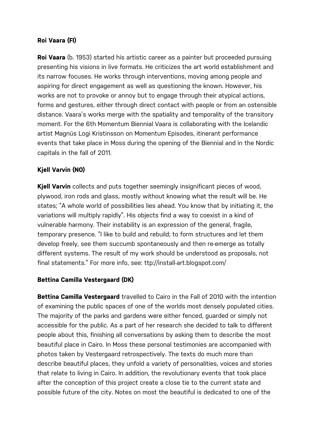## **Roi Vaara (FI)**

**Roi Vaara** (b. 1953) started his artistic career as a painter but proceeded pursuing presenting his visions in live formats. He criticizes the art world establishment and its narrow focuses. He works through interventions, moving among people and aspiring for direct engagement as well as questioning the known. However, his works are not to provoke or annoy but to engage through their atypical actions, forms and gestures, either through direct contact with people or from an ostensible distance. Vaara's works merge with the spatiality and temporality of the transitory moment. For the 6th Momentum Biennial Vaara is collaborating with the Icelandic artist Magnús Logi Kristinsson on Momentum Episodes, itinerant performance events that take place in Moss during the opening of the Biennial and in the Nordic capitals in the fall of 2011.

## **Kjell Varvin (NO)**

**Kjell Varvin** collects and puts together seemingly insignificant pieces of wood, plywood, iron rods and glass, mostly without knowing what the result will be. He states; "A whole world of possibilities lies ahead. You know that by initiating it, the variations will multiply rapidly". His objects find a way to coexist in a kind of vulnerable harmony. Their instability is an expression of the general, fragile, temporary presence. "I like to build and rebuild; to form structures and let them develop freely, see them succumb spontaneously and then re-emerge as totally different systems. The result of my work should be understood as proposals, not final statements." For more info, see: ttp://install-art.blogspot.com/

#### **Bettina Camilla Vestergaard (DK)**

**Bettina Camilla Vestergaard** travelled to Cairo in the Fall of 2010 with the intention of examining the public spaces of one of the worlds most densely populated cities. The majority of the parks and gardens were either fenced, guarded or simply not accessible for the public. As a part of her research she decided to talk to different people about this, finishing all conversations by asking them to describe the most beautiful place in Cairo. In Moss these personal testimonies are accompanied with photos taken by Vestergaard retrospectively. The texts do much more than describe beautiful places, they unfold a variety of personalities, voices and stories that relate to living in Cairo. In addition, the revolutionary events that took place after the conception of this project create a close tie to the current state and possible future of the city. Notes on most the beautiful is dedicated to one of the